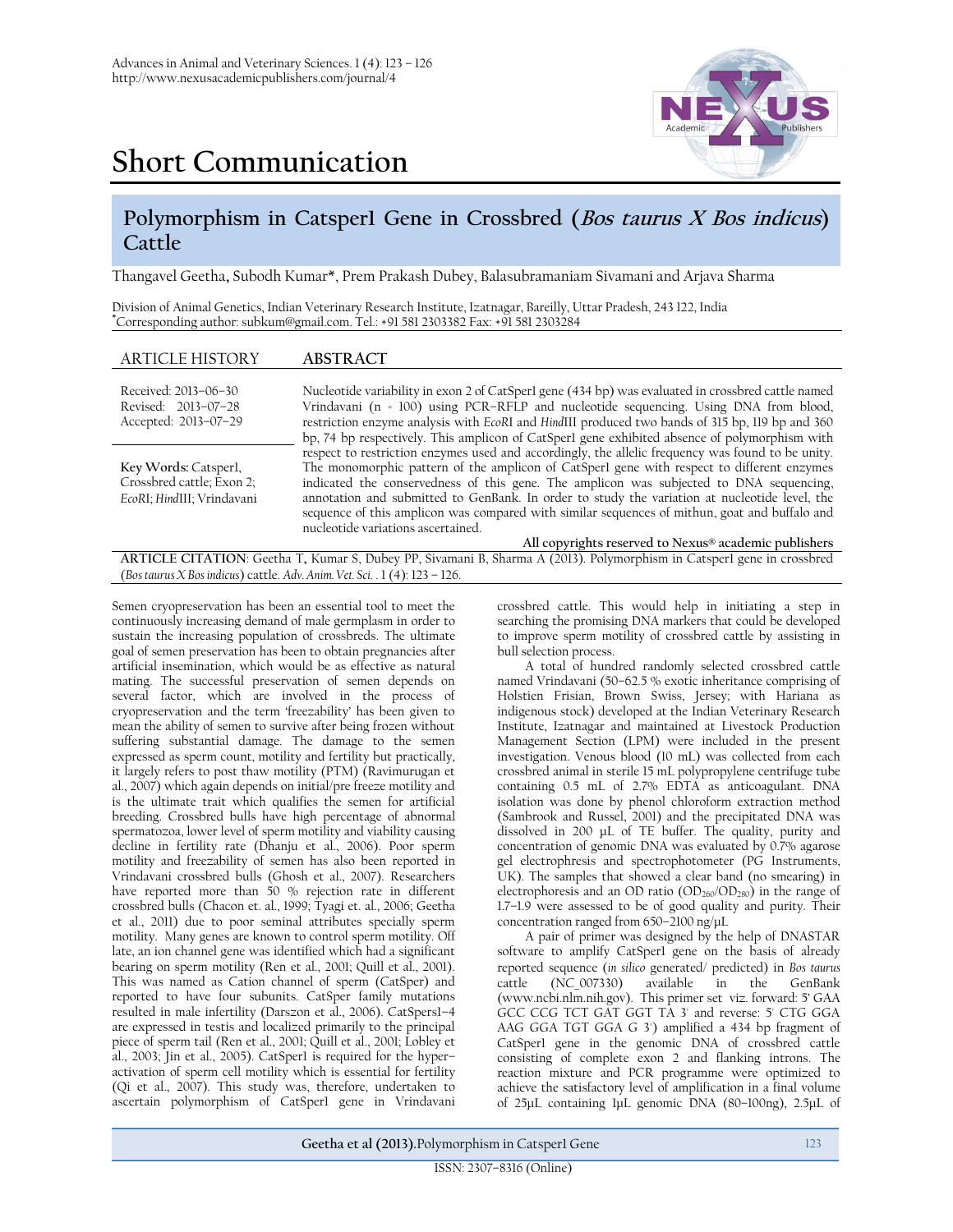

## **Short Communication**

## **Polymorphism in Catsper1 Gene in Crossbred (Bos taurus X Bos indicus) Cattle**

Thangavel Geetha**,** Subodh Kumar\*, Prem Prakash Dubey, Balasubramaniam Sivamani and Arjava Sharma

Division of Animal Genetics, Indian Veterinary Research Institute, Izatnagar, Bareilly, Uttar Pradesh, 243 122, India **\***Corresponding author: [subkum@gmail.com.](mailto:subkum@gmail.com) Tel.: +91 581 2303382 Fax: +91 581 2303284

| <b>ARTICLE HISTORY</b>                                                          | <b>ABSTRACT</b>                                                                                                                                                                                                                                                                                                                                                                                                                                                                                                                    |
|---------------------------------------------------------------------------------|------------------------------------------------------------------------------------------------------------------------------------------------------------------------------------------------------------------------------------------------------------------------------------------------------------------------------------------------------------------------------------------------------------------------------------------------------------------------------------------------------------------------------------|
| Received: 2013-06-30<br>Revised: 2013-07-28<br>Accepted: 2013-07-29             | Nucleotide variability in exon 2 of CatSperl gene (434 bp) was evaluated in crossbred cattle named<br>Vrindavani (n = 100) using PCR-RFLP and nucleotide sequencing. Using DNA from blood,<br>restriction enzyme analysis with EcoRI and HindIII produced two bands of 315 bp, 119 bp and 360<br>bp, 74 bp respectively. This amplicon of CatSperl gene exhibited absence of polymorphism with                                                                                                                                     |
| Key Words: Catsperl,<br>Crossbred cattle; Exon 2;<br>EcoRI; HindIII; Vrindavani | respect to restriction enzymes used and accordingly, the allelic frequency was found to be unity.<br>The monomorphic pattern of the amplicon of CatSper1 gene with respect to different enzymes<br>indicated the conservedness of this gene. The amplicon was subjected to DNA sequencing,<br>annotation and submitted to GenBank. In order to study the variation at nucleotide level, the<br>sequence of this amplicon was compared with similar sequences of mithun, goat and buffalo and<br>nucleotide variations ascertained. |
|                                                                                 | All copyrights reserved to Nexus® academic publishers                                                                                                                                                                                                                                                                                                                                                                                                                                                                              |
|                                                                                 | ARTICLE CITATION: Geetha T, Kumar S, Dubey PP, Sivamani B, Sharma A (2013). Polymorphism in Catsperl gene in crossbred                                                                                                                                                                                                                                                                                                                                                                                                             |

(*Bos taurus X Bosindicus*) cattle. *Adv. Anim. Vet. Sci.* . 1 (4): 123 – 126.

Semen cryopreservation has been an essential tool to meet the continuously increasing demand of male germplasm in order to sustain the increasing population of crossbreds. The ultimate goal of semen preservation has been to obtain pregnancies after artificial insemination, which would be as effective as natural mating. The successful preservation of semen depends on several factor, which are involved in the process of cryopreservation and the term 'freezability' has been given to mean the ability of semen to survive after being frozen without suffering substantial damage. The damage to the semen expressed as sperm count, motility and fertility but practically, it largely refers to post thaw motility (PTM) (Ravimurugan et al., 2007) which again depends on initial/pre freeze motility and is the ultimate trait which qualifies the semen for artificial breeding. Crossbred bulls have high percentage of abnormal spermatozoa, lower level of sperm motility and viability causing decline in fertility rate (Dhanju et al., 2006). Poor sperm motility and freezability of semen has also been reported in Vrindavani crossbred bulls (Ghosh et al., 2007). Researchers have reported more than 50 % rejection rate in different crossbred bulls (Chacon et. al., 1999; Tyagi et. al., 2006; Geetha et al., 2011) due to poor seminal attributes specially sperm motility. Many genes are known to control sperm motility. Off late, an ion channel gene was identified which had a significant bearing on sperm motility (Ren et al., 2001; Quill et al., 2001). This was named as Cation channel of sperm (CatSper) and reported to have four subunits. CatSper family mutations resulted in male infertility (Darszon et al., 2006). CatSpers1–4 are expressed in testis and localized primarily to the principal piece of sperm tail (Ren et al., 2001; Quill et al., 2001; Lobley et al., 2003; Jin et al., 2005). CatSper1 is required for the hyper– activation of sperm cell motility which is essential for fertility (Qi et al., 2007). This study was, therefore, undertaken to ascertain polymorphism of CatSper1 gene in Vrindavani crossbred cattle. This would help in initiating a step in searching the promising DNA markers that could be developed to improve sperm motility of crossbred cattle by assisting in bull selection process.

A total of hundred randomly selected crossbred cattle named Vrindavani (50–62.5 % exotic inheritance comprising of Holstien Frisian, Brown Swiss, Jersey; with Hariana as indigenous stock) developed at the Indian Veterinary Research Institute, Izatnagar and maintained at Livestock Production Management Section (LPM) were included in the present investigation. Venous blood (10 mL) was collected from each crossbred animal in sterile 15 mL polypropylene centrifuge tube containing 0.5 mL of 2.7% EDTA as anticoagulant. DNA isolation was done by phenol chloroform extraction method (Sambrook and Russel, 2001) and the precipitated DNA was dissolved in 200 µL of TE buffer. The quality, purity and concentration of genomic DNA was evaluated by 0.7% agarose gel electrophresis and spectrophotometer (PG Instruments, UK). The samples that showed a clear band (no smearing) in electrophoresis and an OD ratio (OD<sub>260</sub>/OD<sub>280</sub>) in the range of 1.7–1.9 were assessed to be of good quality and purity. Their concentration ranged from 650–2100 ng/μL

A pair of primer was designed by the help of DNASTAR software to amplify CatSper1 gene on the basis of already reported sequence (*in silico* generated/ predicted) in *Bos taurus* cattle (NC\_007330) available in the GenBank [\(www.ncbi.nlm.nih.gov\)](http://www.ncbi.nlm.nih.gov/). This primer set viz. forward: 5' GAA GCC CCG TCT GAT GGT TA 3' and reverse: 5' CTG GGA AAG GGA TGT GGA G 3') amplified a 434 bp fragment of CatSper1 gene in the genomic DNA of crossbred cattle consisting of complete exon 2 and flanking introns. The reaction mixture and PCR programme were optimized to achieve the satisfactory level of amplification in a final volume of 25μL containing 1μL genomic DNA (80–100ng), 2.5μL of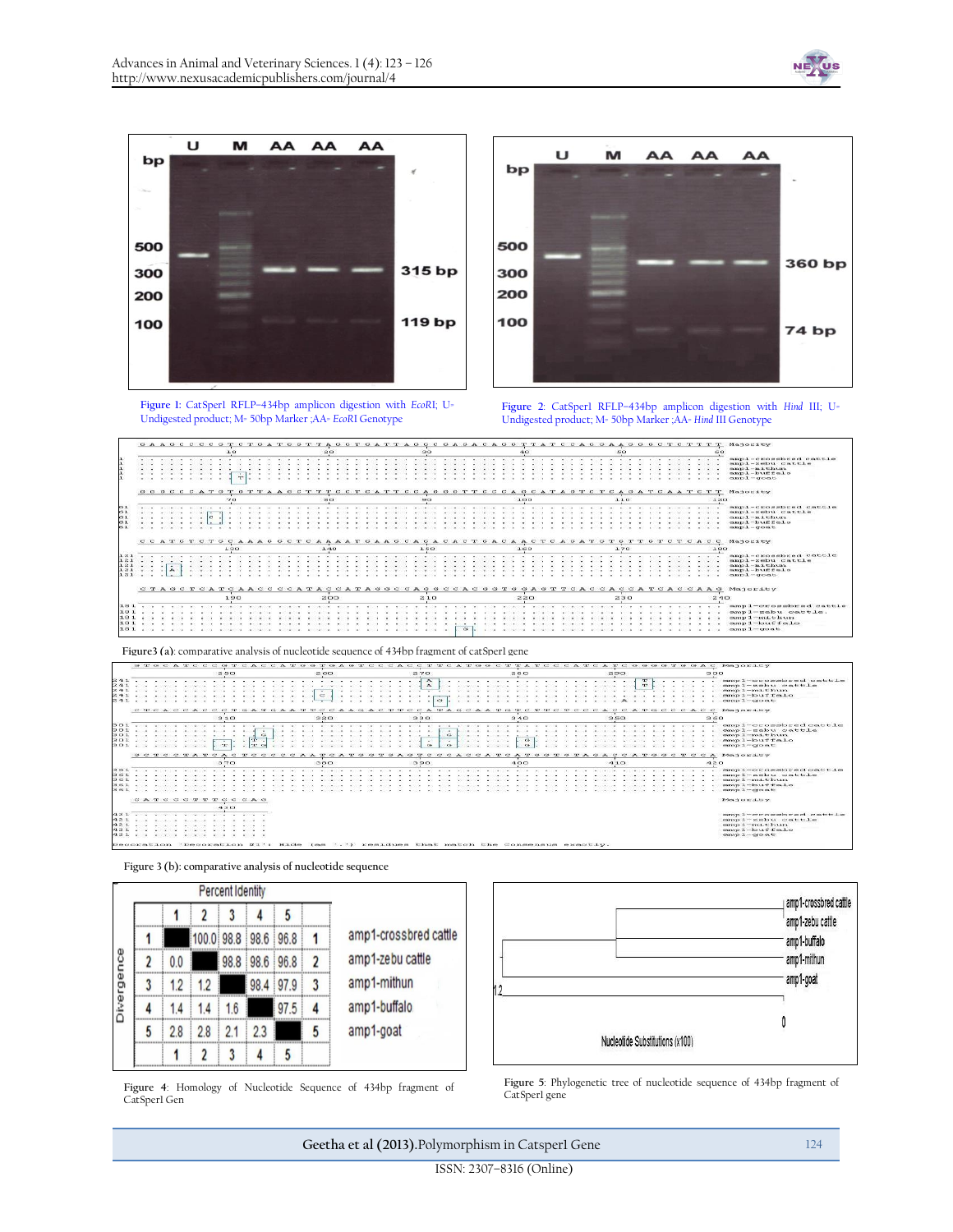AA

AA

AA

M

Ü

bp







**Figure 2**: CatSper1 RFLP–434bp amplicon digestion with *Hind* III; U= Undigested product; M= 50bp Marker ;AA= *Hind* III Genotype

|         |            |           |  |  |      |  |           |  |  |                 |     |  |  |      |  |             |          |                                                                                                                                                                                                                                                                                                                                                                                                                              |  |      |     |  |  |   |                  |  |  |                                                   | GAAGCCCCGTCTGATGGTTAGGTGATTAGGCGAGACAGGTTATCCAGGAAGGGCTCTTTT |     | Majority                                                                                                                      |
|---------|------------|-----------|--|--|------|--|-----------|--|--|-----------------|-----|--|--|------|--|-------------|----------|------------------------------------------------------------------------------------------------------------------------------------------------------------------------------------------------------------------------------------------------------------------------------------------------------------------------------------------------------------------------------------------------------------------------------|--|------|-----|--|--|---|------------------|--|--|---------------------------------------------------|--------------------------------------------------------------|-----|-------------------------------------------------------------------------------------------------------------------------------|
|         |            |           |  |  | 3.0  |  |           |  |  | 20 <sup>o</sup> |     |  |  | 30   |  |             |          |                                                                                                                                                                                                                                                                                                                                                                                                                              |  |      |     |  |  |   | 5.0              |  |  |                                                   |                                                              |     |                                                                                                                               |
|         |            |           |  |  |      |  |           |  |  |                 |     |  |  |      |  |             |          | .                                                                                                                                                                                                                                                                                                                                                                                                                            |  |      |     |  |  | . |                  |  |  |                                                   |                                                              |     | ampl-crossbred cattle                                                                                                         |
|         |            |           |  |  |      |  |           |  |  |                 |     |  |  |      |  |             |          |                                                                                                                                                                                                                                                                                                                                                                                                                              |  |      |     |  |  |   |                  |  |  |                                                   |                                                              |     | camp 1 - metros contrit 1 e<br>nmp 1 - mi thum                                                                                |
|         |            |           |  |  |      |  |           |  |  |                 |     |  |  |      |  |             |          |                                                                                                                                                                                                                                                                                                                                                                                                                              |  |      |     |  |  |   |                  |  |  |                                                   |                                                              |     | $mm1 - burst$ falo                                                                                                            |
|         |            |           |  |  |      |  |           |  |  |                 |     |  |  |      |  |             |          |                                                                                                                                                                                                                                                                                                                                                                                                                              |  |      |     |  |  |   |                  |  |  |                                                   |                                                              |     | $mm1 - cm n t$                                                                                                                |
|         |            |           |  |  |      |  |           |  |  |                 |     |  |  |      |  |             |          |                                                                                                                                                                                                                                                                                                                                                                                                                              |  |      |     |  |  |   |                  |  |  |                                                   |                                                              |     |                                                                                                                               |
|         | GGGCCCATGT |           |  |  |      |  | GTTAAGCTT |  |  |                 | C T |  |  |      |  | CATTCCAGGGT |          |                                                                                                                                                                                                                                                                                                                                                                                                                              |  |      |     |  |  |   |                  |  |  | T C C C A G C A T A G T C T C A G A T C A A T C T |                                                              |     | Majority                                                                                                                      |
|         |            |           |  |  | 20   |  |           |  |  | 80              |     |  |  |      |  |             |          |                                                                                                                                                                                                                                                                                                                                                                                                                              |  | 100  |     |  |  |   | 1.1 <sub>0</sub> |  |  |                                                   |                                                              | 120 |                                                                                                                               |
|         |            |           |  |  |      |  |           |  |  |                 |     |  |  |      |  |             |          | $\mathbf{A} = \mathbf{A} + \mathbf{A} + \mathbf{A} + \mathbf{A} + \mathbf{A} + \mathbf{A} + \mathbf{A} + \mathbf{A} + \mathbf{A} + \mathbf{A} + \mathbf{A} + \mathbf{A} + \mathbf{A} + \mathbf{A} + \mathbf{A} + \mathbf{A} + \mathbf{A} + \mathbf{A} + \mathbf{A} + \mathbf{A} + \mathbf{A} + \mathbf{A} + \mathbf{A} + \mathbf{A} + \mathbf{A} + \mathbf{A} + \mathbf{A} + \mathbf{A} + \mathbf{A} + \mathbf{A} + \mathbf$ |  |      |     |  |  |   |                  |  |  |                                                   |                                                              |     | ampl-crossbred cattle                                                                                                         |
|         |            |           |  |  |      |  |           |  |  |                 |     |  |  |      |  |             |          |                                                                                                                                                                                                                                                                                                                                                                                                                              |  |      |     |  |  |   |                  |  |  |                                                   |                                                              |     | $mmp1-mnln1$ $c m t, t, 1, m$                                                                                                 |
|         |            |           |  |  |      |  |           |  |  |                 |     |  |  |      |  |             |          |                                                                                                                                                                                                                                                                                                                                                                                                                              |  |      |     |  |  |   |                  |  |  |                                                   |                                                              |     | ampl-mithun                                                                                                                   |
| 65 X    |            |           |  |  |      |  |           |  |  |                 |     |  |  |      |  |             |          |                                                                                                                                                                                                                                                                                                                                                                                                                              |  |      |     |  |  |   |                  |  |  |                                                   |                                                              |     | $m n 1 - b u f f n 1 o$                                                                                                       |
|         |            |           |  |  |      |  |           |  |  |                 |     |  |  |      |  |             |          |                                                                                                                                                                                                                                                                                                                                                                                                                              |  |      |     |  |  |   |                  |  |  |                                                   |                                                              |     | $mmin1. - cm = m$                                                                                                             |
|         |            |           |  |  |      |  |           |  |  |                 |     |  |  |      |  |             |          |                                                                                                                                                                                                                                                                                                                                                                                                                              |  |      |     |  |  |   |                  |  |  |                                                   |                                                              |     |                                                                                                                               |
|         |            |           |  |  |      |  |           |  |  |                 |     |  |  |      |  |             |          |                                                                                                                                                                                                                                                                                                                                                                                                                              |  |      |     |  |  |   |                  |  |  |                                                   | CCATOTCTGCAAAGGCTCAAAATGAAGCAGACACTGACAACTCAGATGTGTTGTCTCACC |     | Majority                                                                                                                      |
|         |            |           |  |  | 1.30 |  |           |  |  | 1.40            |     |  |  | 1.50 |  |             |          |                                                                                                                                                                                                                                                                                                                                                                                                                              |  | 3.60 |     |  |  |   | 1.70             |  |  |                                                   |                                                              | 100 |                                                                                                                               |
| 121     |            |           |  |  |      |  |           |  |  |                 |     |  |  |      |  |             |          | A 1990 THAT A 1990 THE REPORT OF THE REPORT OF THE REPORT OF THE REPORT OF THE REPORT OF THE REPORT OF THE REPORT OF THE REPORT OF THE REPORT OF THE REPORT OF THE REPORT OF THE REPORT OF THE REPORT OF THE REPORT OF THE REP                                                                                                                                                                                               |  |      |     |  |  |   |                  |  |  |                                                   |                                                              |     | ampl-crossbred cattle                                                                                                         |
| 1.2.1   |            |           |  |  |      |  |           |  |  |                 |     |  |  |      |  |             |          |                                                                                                                                                                                                                                                                                                                                                                                                                              |  |      |     |  |  |   |                  |  |  |                                                   |                                                              |     | ampl-schu cattle                                                                                                              |
| 1.23.1  |            |           |  |  |      |  |           |  |  |                 |     |  |  |      |  |             |          |                                                                                                                                                                                                                                                                                                                                                                                                                              |  |      |     |  |  |   |                  |  |  |                                                   |                                                              |     | $a$ mp $1 - m$ i, Chain,                                                                                                      |
| 121     |            | $\lambda$ |  |  |      |  |           |  |  |                 |     |  |  |      |  |             |          |                                                                                                                                                                                                                                                                                                                                                                                                                              |  |      |     |  |  |   |                  |  |  |                                                   |                                                              |     | smpl-buffalo                                                                                                                  |
| 1.23.1  |            |           |  |  |      |  |           |  |  |                 |     |  |  |      |  |             |          |                                                                                                                                                                                                                                                                                                                                                                                                                              |  |      |     |  |  |   |                  |  |  |                                                   |                                                              |     | $mm1-cm0$                                                                                                                     |
|         |            |           |  |  |      |  |           |  |  |                 |     |  |  |      |  |             |          |                                                                                                                                                                                                                                                                                                                                                                                                                              |  |      |     |  |  |   |                  |  |  |                                                   |                                                              |     | C TA G C T C A T C A A C C C C A T A C C A T A G G C C C C C C G C G G T G G A G T T C A C C A C C A T C A C C A A G Manority |
|         |            |           |  |  |      |  |           |  |  |                 |     |  |  |      |  |             |          |                                                                                                                                                                                                                                                                                                                                                                                                                              |  |      |     |  |  |   |                  |  |  |                                                   |                                                              |     |                                                                                                                               |
|         |            |           |  |  | 190  |  |           |  |  | 200             |     |  |  | 210  |  |             |          |                                                                                                                                                                                                                                                                                                                                                                                                                              |  |      | 220 |  |  |   | 230              |  |  |                                                   |                                                              | 240 |                                                                                                                               |
| 181     |            |           |  |  |      |  |           |  |  |                 |     |  |  |      |  |             |          |                                                                                                                                                                                                                                                                                                                                                                                                                              |  |      |     |  |  |   |                  |  |  |                                                   | ALC: YES                                                     |     | ampl-crossbred cattle                                                                                                         |
| 181     |            |           |  |  |      |  |           |  |  |                 |     |  |  |      |  |             |          |                                                                                                                                                                                                                                                                                                                                                                                                                              |  |      |     |  |  |   |                  |  |  |                                                   |                                                              |     | ampl-sebu cattle.                                                                                                             |
| 101     |            |           |  |  |      |  |           |  |  |                 |     |  |  |      |  |             |          |                                                                                                                                                                                                                                                                                                                                                                                                                              |  |      |     |  |  |   |                  |  |  |                                                   |                                                              |     | $mnp1 = m1$ thun                                                                                                              |
| 181     |            |           |  |  |      |  |           |  |  |                 |     |  |  |      |  |             |          |                                                                                                                                                                                                                                                                                                                                                                                                                              |  |      |     |  |  |   |                  |  |  |                                                   |                                                              |     | $amp1 - butffalo$                                                                                                             |
| 3.03.3. |            |           |  |  |      |  |           |  |  |                 |     |  |  |      |  |             | $\alpha$ |                                                                                                                                                                                                                                                                                                                                                                                                                              |  |      |     |  |  |   |                  |  |  |                                                   |                                                              |     | $\text{amp1}-\text{const.}$                                                                                                   |
|         |            |           |  |  |      |  |           |  |  |                 |     |  |  |      |  |             |          |                                                                                                                                                                                                                                                                                                                                                                                                                              |  |      |     |  |  |   |                  |  |  |                                                   |                                                              |     |                                                                                                                               |
|         |            |           |  |  |      |  |           |  |  |                 |     |  |  |      |  |             |          |                                                                                                                                                                                                                                                                                                                                                                                                                              |  |      |     |  |  |   |                  |  |  |                                                   |                                                              |     |                                                                                                                               |

|                                            |                                                                                                                                                                                                                                |  |  |  | 350         |  |             |  |  | 2.60.                                |  |  |  |                      | 2.701 |                |                                                                                                      |                          |                          |  |                  | 学科目  |            |  |  |  | 2.903  |                      |            |                                                                                                                                                                                                                                |  |  | <b>BOD</b> |                                                                                                                                                                                                                                |
|--------------------------------------------|--------------------------------------------------------------------------------------------------------------------------------------------------------------------------------------------------------------------------------|--|--|--|-------------|--|-------------|--|--|--------------------------------------|--|--|--|----------------------|-------|----------------|------------------------------------------------------------------------------------------------------|--------------------------|--------------------------|--|------------------|------|------------|--|--|--|--------|----------------------|------------|--------------------------------------------------------------------------------------------------------------------------------------------------------------------------------------------------------------------------------|--|--|------------|--------------------------------------------------------------------------------------------------------------------------------------------------------------------------------------------------------------------------------|
| 241                                        |                                                                                                                                                                                                                                |  |  |  |             |  |             |  |  | the contract of the contract of the  |  |  |  | $\cdots$ . $\lambda$ |       |                |                                                                                                      |                          | .                        |  |                  |      |            |  |  |  |        | $\sim$ $\sim$ $\sim$ | T          |                                                                                                                                                                                                                                |  |  |            | . mmpl-creambred cattle                                                                                                                                                                                                        |
| 241                                        |                                                                                                                                                                                                                                |  |  |  |             |  |             |  |  |                                      |  |  |  | the common and       |       | $\lambda$      |                                                                                                      | The County of the County |                          |  |                  |      |            |  |  |  |        | Sales and the State  | <b>STA</b> |                                                                                                                                                                                                                                |  |  |            | $\ldots$ , $\ldots$ cannot $1 -$ socket contribution                                                                                                                                                                           |
| 241                                        |                                                                                                                                                                                                                                |  |  |  |             |  |             |  |  |                                      |  |  |  |                      |       |                | and the state of the state of the                                                                    |                          |                          |  |                  |      |            |  |  |  |        |                      |            | and the state of the state of                                                                                                                                                                                                  |  |  |            | canp 1-mithun                                                                                                                                                                                                                  |
| 241                                        |                                                                                                                                                                                                                                |  |  |  |             |  |             |  |  |                                      |  |  |  |                      |       |                |                                                                                                      |                          |                          |  |                  |      |            |  |  |  |        |                      |            | .                                                                                                                                                                                                                              |  |  |            | $\text{amp1}-\text{butfall}$<br>$m \geq 1$ - $\alpha$ $\alpha \geq 1$                                                                                                                                                          |
| 241                                        |                                                                                                                                                                                                                                |  |  |  |             |  |             |  |  |                                      |  |  |  |                      |       |                |                                                                                                      |                          |                          |  |                  |      |            |  |  |  |        |                      |            | the second control of the second control of the second control of the second control of the second control of the second control of the second control of the second control of the second control of the second control of th |  |  |            |                                                                                                                                                                                                                                |
|                                            |                                                                                                                                                                                                                                |  |  |  |             |  |             |  |  |                                      |  |  |  |                      |       |                |                                                                                                      |                          |                          |  |                  |      |            |  |  |  |        |                      |            |                                                                                                                                                                                                                                |  |  |            | CTCACCACCCTGATGAATTCCAAGACTTCCATAGCAATGTCTTCTCCCACCATGCCACC Manoraty                                                                                                                                                           |
|                                            |                                                                                                                                                                                                                                |  |  |  | 210         |  |             |  |  | 320                                  |  |  |  |                      | 220   |                |                                                                                                      |                          |                          |  |                  | 2.40 |            |  |  |  | 350.   |                      |            |                                                                                                                                                                                                                                |  |  | 20.60      |                                                                                                                                                                                                                                |
| $301 - 11$                                 |                                                                                                                                                                                                                                |  |  |  |             |  |             |  |  | the common the common and the common |  |  |  |                      |       |                |                                                                                                      |                          |                          |  |                  |      |            |  |  |  |        |                      |            |                                                                                                                                                                                                                                |  |  |            | a control of the control of the control of the control of the control of the control of the control of the control of the control of the control of the control of the control of the control of the control of the control of |
| 201                                        |                                                                                                                                                                                                                                |  |  |  |             |  |             |  |  |                                      |  |  |  |                      |       |                |                                                                                                      |                          |                          |  |                  |      |            |  |  |  |        |                      |            |                                                                                                                                                                                                                                |  |  |            | $\ldots$ compl-sebu cattle                                                                                                                                                                                                     |
| 20.02.2                                    |                                                                                                                                                                                                                                |  |  |  |             |  | <b>ATLA</b> |  |  |                                      |  |  |  |                      |       | <b>Service</b> |                                                                                                      | CE                       |                          |  |                  |      |            |  |  |  |        |                      |            |                                                                                                                                                                                                                                |  |  |            | manp 1 = mattinum                                                                                                                                                                                                              |
| 303                                        |                                                                                                                                                                                                                                |  |  |  |             |  |             |  |  |                                      |  |  |  |                      |       |                |                                                                                                      | $\sim$                   | <b>Contract Contract</b> |  |                  |      | $^{c_{4}}$ |  |  |  |        |                      |            |                                                                                                                                                                                                                                |  |  |            | $comp1 - buffer010$                                                                                                                                                                                                            |
| $-0.01$ $-0.01$ $-0.001$ $-0.001$ $-0.001$ |                                                                                                                                                                                                                                |  |  |  | <b>STAR</b> |  |             |  |  |                                      |  |  |  |                      |       | $C+$           |                                                                                                      | $-$ Gives                | <b>CALL</b>              |  | <b>CALL CALL</b> |      | $\sim$     |  |  |  |        |                      |            | and provided properties which                                                                                                                                                                                                  |  |  |            | $mno$ $1 - cron$ $m$ to                                                                                                                                                                                                        |
|                                            |                                                                                                                                                                                                                                |  |  |  |             |  |             |  |  |                                      |  |  |  |                      |       |                |                                                                                                      |                          |                          |  |                  |      |            |  |  |  |        |                      |            |                                                                                                                                                                                                                                |  |  |            | SCTCCTATCACTCCCCCAATCATSSTGASTCCCACCATCATSSTGTASACCATSSCTCCA Majority                                                                                                                                                          |
|                                            |                                                                                                                                                                                                                                |  |  |  | 370         |  |             |  |  | $-200$                               |  |  |  |                      | 200   |                |                                                                                                      |                          |                          |  |                  | 400  |            |  |  |  | $-410$ |                      |            |                                                                                                                                                                                                                                |  |  | 420        |                                                                                                                                                                                                                                |
|                                            | <b>BRIDGE AND STATISTICS IN A REPORT OF A STATISTICS</b>                                                                                                                                                                       |  |  |  |             |  |             |  |  |                                      |  |  |  |                      |       |                | a shi a shekara ta 1979, a shekara ta 1972, a shekara ta ƙasar ta ƙasar ta ƙasar Ingila.             |                          |                          |  |                  |      |            |  |  |  |        |                      |            | the contract of the contract of the contract of the contract of the contract of the contract of the contract of the contract of the contract of the contract of the contract of the contract of the contract of the contract o |  |  |            | $\ldots$ $\ldots$ can $1-$ or ossbred cattle                                                                                                                                                                                   |
| 361                                        |                                                                                                                                                                                                                                |  |  |  |             |  |             |  |  |                                      |  |  |  |                      |       |                |                                                                                                      |                          |                          |  |                  |      |            |  |  |  |        |                      |            |                                                                                                                                                                                                                                |  |  |            | . mmp1-sebu cattle                                                                                                                                                                                                             |
| $20.65 - 1.$                               |                                                                                                                                                                                                                                |  |  |  |             |  |             |  |  |                                      |  |  |  |                      |       |                |                                                                                                      |                          |                          |  |                  |      |            |  |  |  |        |                      |            |                                                                                                                                                                                                                                |  |  |            | many 1 - rout to hours.                                                                                                                                                                                                        |
| 361                                        |                                                                                                                                                                                                                                |  |  |  |             |  |             |  |  |                                      |  |  |  |                      |       |                | and the single three three controls of single                                                        |                          |                          |  |                  |      |            |  |  |  |        |                      |            |                                                                                                                                                                                                                                |  |  |            | $mno1-huffialo$                                                                                                                                                                                                                |
| 361                                        |                                                                                                                                                                                                                                |  |  |  |             |  |             |  |  |                                      |  |  |  |                      |       |                | a ba anns an ainm an ainm anns an ainm an ainm an ainm an ainm an ainm an ainm an ainm an ainm an ai |                          |                          |  |                  |      |            |  |  |  |        |                      |            |                                                                                                                                                                                                                                |  |  |            | $\alpha$ mp $1-\alpha$ o at                                                                                                                                                                                                    |
|                                            | $\alpha$ a p $\alpha$ c $\alpha$ p p $\alpha$ $\alpha$ a $\alpha$                                                                                                                                                              |  |  |  |             |  |             |  |  |                                      |  |  |  |                      |       |                |                                                                                                      |                          |                          |  |                  |      |            |  |  |  |        |                      |            |                                                                                                                                                                                                                                |  |  |            | Majority                                                                                                                                                                                                                       |
|                                            |                                                                                                                                                                                                                                |  |  |  | 47.07       |  |             |  |  |                                      |  |  |  |                      |       |                |                                                                                                      |                          |                          |  |                  |      |            |  |  |  |        |                      |            |                                                                                                                                                                                                                                |  |  |            |                                                                                                                                                                                                                                |
|                                            |                                                                                                                                                                                                                                |  |  |  |             |  |             |  |  |                                      |  |  |  |                      |       |                |                                                                                                      |                          |                          |  |                  |      |            |  |  |  |        |                      |            |                                                                                                                                                                                                                                |  |  |            | mmp 1-crossabred cattle                                                                                                                                                                                                        |
|                                            |                                                                                                                                                                                                                                |  |  |  |             |  |             |  |  |                                      |  |  |  |                      |       |                |                                                                                                      |                          |                          |  |                  |      |            |  |  |  |        |                      |            |                                                                                                                                                                                                                                |  |  |            | amp1-sebu cattle                                                                                                                                                                                                               |
| 421<br>421                                 |                                                                                                                                                                                                                                |  |  |  |             |  |             |  |  |                                      |  |  |  |                      |       |                |                                                                                                      |                          |                          |  |                  |      |            |  |  |  |        |                      |            |                                                                                                                                                                                                                                |  |  |            | manual - road to hours.                                                                                                                                                                                                        |
| 421                                        |                                                                                                                                                                                                                                |  |  |  |             |  |             |  |  |                                      |  |  |  |                      |       |                |                                                                                                      |                          |                          |  |                  |      |            |  |  |  |        |                      |            |                                                                                                                                                                                                                                |  |  |            |                                                                                                                                                                                                                                |
| 42.1                                       | and the company of the company of the company of the company of the company of the company of the company of the company of the company of the company of the company of the company of the company of the company of the comp |  |  |  |             |  |             |  |  |                                      |  |  |  |                      |       |                |                                                                                                      |                          |                          |  |                  |      |            |  |  |  |        |                      |            |                                                                                                                                                                                                                                |  |  |            | $app1 - byte$ falo<br>$\cos 1 - \cos \alpha t$                                                                                                                                                                                 |

**Figure 3 (b): comparative analysis of nucleotide sequence**



**Figure 4**: Homology of Nucleotide Sequence of 434bp fragment of CatSper1 Gen



**Figure 5**: Phylogenetic tree of nucleotide sequence of 434bp fragment of CatSper1 gene

Geetha et al (2013).Polymorphism in Catsper1 Gene 124

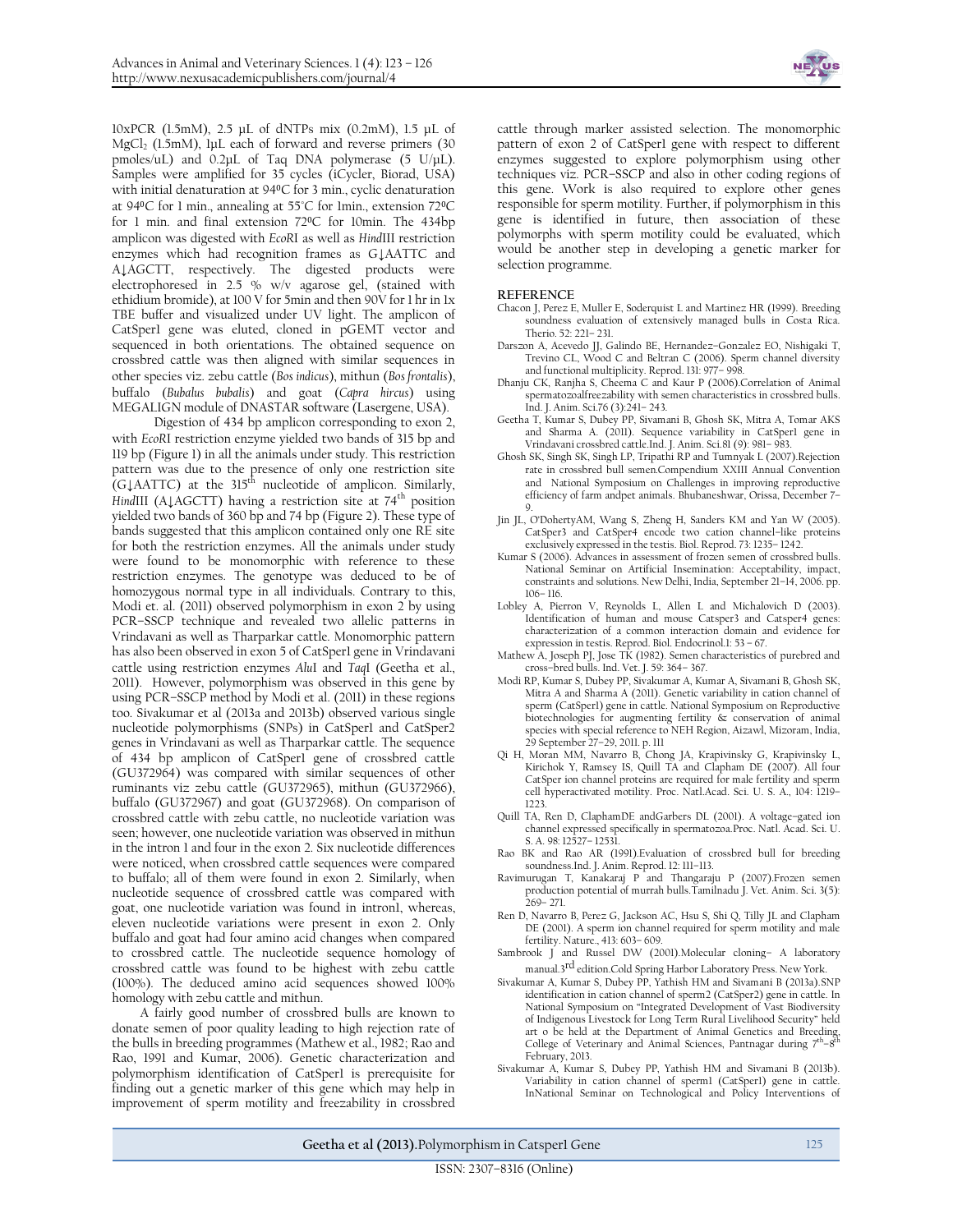

10xPCR (1.5mM), 2.5 μL of dNTPs mix (0.2mM), 1.5 μL of MgCl<sub>2</sub> (1.5mM), luL each of forward and reverse primers (30) pmoles/uL) and 0.2μL of Taq DNA polymerase (5 U/μL). Samples were amplified for 35 cycles (iCycler, Biorad, USA) with initial denaturation at 940C for 3 min., cyclic denaturation at 940C for 1 min., annealing at 55°C for 1min., extension 720C for 1 min. and final extension 720C for 10min. The 434bp amplicon was digested with *EcoR*I as well as *Hind*III restriction enzymes which had recognition frames as G**↓**AATTC and A**↓**AGCTT, respectively. The digested products were electrophoresed in 2.5 % w/v agarose gel, (stained with ethidium bromide), at 100 V for 5min and then 90V for 1 hr in 1x TBE buffer and visualized under UV light. The amplicon of CatSper1 gene was eluted, cloned in pGEMT vector and sequenced in both orientations. The obtained sequence on crossbred cattle was then aligned with similar sequences in other species viz. zebu cattle (*Bos indicus*), mithun (*Bos frontalis*), buffalo (*Bubalus bubalis*) and goat (*Capra hircus*) using MEGALIGN module of DNASTAR software (Lasergene, USA).

Digestion of 434 bp amplicon corresponding to exon 2, with *EcoR*I restriction enzyme yielded two bands of 315 bp and 119 bp (Figure 1) in all the animals under study. This restriction pattern was due to the presence of only one restriction site (G↓AATTC) at the 315<sup>th</sup> nucleotide of amplicon. Similarly, *HindIII* (A↓AGCTT) having a restriction site at 74<sup>th</sup> position yielded two bands of 360 bp and 74 bp (Figure 2). These type of bands suggested that this amplicon contained only one RE site for both the restriction enzymes**.** All the animals under study were found to be monomorphic with reference to these restriction enzymes. The genotype was deduced to be of homozygous normal type in all individuals. Contrary to this, Modi et. al. (2011) observed polymorphism in exon 2 by using PCR–SSCP technique and revealed two allelic patterns in Vrindavani as well as Tharparkar cattle. Monomorphic pattern has also been observed in exon 5 of CatSper1 gene in Vrindavani cattle using restriction enzymes *Alu*I and *Taq*I (Geetha et al., 2011). However, polymorphism was observed in this gene by using PCR–SSCP method by Modi et al. (2011) in these regions too. Sivakumar et al (2013a and 2013b) observed various single nucleotide polymorphisms (SNPs) in CatSper1 and CatSper2 genes in Vrindavani as well as Tharparkar cattle. The sequence of 434 bp amplicon of CatSper1 gene of crossbred cattle (GU372964) was compared with similar sequences of other ruminants viz zebu cattle (GU372965), mithun (GU372966), buffalo (GU372967) and goat (GU372968). On comparison of crossbred cattle with zebu cattle, no nucleotide variation was seen; however, one nucleotide variation was observed in mithun in the intron 1 and four in the exon 2. Six nucleotide differences were noticed, when crossbred cattle sequences were compared to buffalo; all of them were found in exon 2. Similarly, when nucleotide sequence of crossbred cattle was compared with goat, one nucleotide variation was found in intron1, whereas, eleven nucleotide variations were present in exon 2. Only buffalo and goat had four amino acid changes when compared to crossbred cattle. The nucleotide sequence homology of crossbred cattle was found to be highest with zebu cattle (100%). The deduced amino acid sequences showed 100% homology with zebu cattle and mithun.

A fairly good number of crossbred bulls are known to donate semen of poor quality leading to high rejection rate of the bulls in breeding programmes (Mathew et al., 1982; Rao and Rao, 1991 and Kumar, 2006). Genetic characterization and polymorphism identification of CatSper1 is prerequisite for finding out a genetic marker of this gene which may help in improvement of sperm motility and freezability in crossbred

cattle through marker assisted selection. The monomorphic pattern of exon 2 of CatSper1 gene with respect to different enzymes suggested to explore polymorphism using other techniques viz. PCR–SSCP and also in other coding regions of this gene. Work is also required to explore other genes responsible for sperm motility. Further, if polymorphism in this gene is identified in future, then association of these polymorphs with sperm motility could be evaluated, which would be another step in developing a genetic marker for selection programme.

## **REFERENCE**

- Chacon J, Perez E, Muller E, Soderquist L and Martinez HR (1999). Breeding soundness evaluation of extensively managed bulls in Costa Rica. Therio. 52: 221– 231.
- Darszon A, Acevedo JJ, Galindo BE, Hernandez–Gonzalez EO, Nishigaki T, Trevino CL, Wood C and Beltran C (2006). Sperm channel diversity and functional multiplicity. Reprod. 131: 977– 998.
- Dhanju CK, Ranjha S, Cheema C and Kaur P (2006).Correlation of Animal spermatozoalfreezability with semen characteristics in crossbred bulls. Ind. J. Anim. Sci.76 (3):241– 243.
- Geetha T, Kumar S, Dubey PP, Sivamani B, Ghosh SK, Mitra A, Tomar AKS and Sharma A. (2011). Sequence variability in CatSper1 gene in Vrindavani crossbred cattle.Ind. J. Anim. Sci.81 (9): 981– 983.
- Ghosh SK, Singh SK, Singh LP, Tripathi RP and Tumnyak L (2007).Rejection rate in crossbred bull semen*.*Compendium XXIII Annual Convention and National Symposium on Challenges in improving reproductive efficiency of farm andpet animals. Bhubaneshwar, Orissa, December 7– 9.
- Jin JL, O'DohertyAM, Wang S, Zheng H, Sanders KM and Yan W (2005). CatSper3 and CatSper4 encode two cation channel–like proteins exclusively expressed in the testis. Biol. Reprod. 73: 1235– 1242.
- Kumar S (2006). Advances in assessment of frozen semen of crossbred bulls. National Seminar on Artificial Insemination: Acceptability, impact, constraints and solutions. New Delhi, India, September 21–14, 2006. pp. 106– 116.
- Lobley A, Pierron V, Reynolds L, Allen L and Michalovich D (2003). Identification of human and mouse Catsper3 and Catsper4 genes: characterization of a common interaction domain and evidence for expression in testis. Reprod. Biol. Endocrinol.1: 53 – 67.
- Mathew A, Joseph PJ, Jose TK (1982). Semen characteristics of purebred and cross–bred bulls. Ind. Vet. J. 59: 364– 367.
- Modi RP, Kumar S, Dubey PP, Sivakumar A, Kumar A, Sivamani B, Ghosh SK, Mitra A and Sharma A (2011). Genetic variability in cation channel of sperm (CatSper1) gene in cattle. National Symposium on Reproductive biotechnologies for augmenting fertility & conservation of animal species with special reference to NEH Region, Aizawl, Mizoram, India, 29 September 27–29, 2011. p. 111
- Qi H, Moran MM, Navarro B, Chong JA, Krapivinsky G, Krapivinsky L, Kirichok Y, Ramsey IS, Quill TA and Clapham DE (2007). All four CatSper ion channel proteins are required for male fertility and sperm cell hyperactivated motility. Proc. Natl.Acad. Sci. U. S. A., 104: 1219– 1223
- Quill TA, Ren D, ClaphamDE andGarbers DL (2001). A voltage–gated ion channel expressed specifically in spermatozoa.Proc. Natl. Acad. Sci. U. S. A. 98: 12527– 12531.
- Rao BK and Rao AR (1991).Evaluation of crossbred bull for breeding soundness.Ind. J. Anim. Reprod. 12: 111–113.
- Ravimurugan T, Kanakaraj P and Thangaraju P (2007).Frozen semen production potential of murrah bulls.Tamilnadu J. Vet. Anim. Sci. 3(5): 269– 271.
- Ren D, Navarro B, Perez G, Jackson AC, Hsu S, Shi Q, Tilly JL and Clapham DE (2001). A sperm ion channel required for sperm motility and male fertility. Nature., 413: 603– 609.
- Sambrook J and Russel DW (2001).Molecular cloning– A laboratory manual.3rd edition.Cold Spring Harbor Laboratory Press. New York.
- Sivakumar A, Kumar S, Dubey PP, Yathish HM and Sivamani B (2013a).SNP identification in cation channel of sperm2 (CatSper2) gene in cattle. In National Symposium on "Integrated Development of Vast Biodiversity of Indigenous Livestock for Long Term Rural Livelihood Security" held art o be held at the Department of Animal Genetics and Breeding,<br>Collors of Veterinary and Animal Sciences Pentregger during 7<sup>th</sup> g<sup>th</sup> College of Veterinary and Animal Sciences, Pantnagar during  $7<sup>th</sup>-8$ February, 2013.
- Sivakumar A, Kumar S, Dubey PP, Yathish HM and Sivamani B (2013b). Variability in cation channel of sperm1 (CatSper1) gene in cattle. InNational Seminar on Technological and Policy Interventions of

Geetha et al (2013). Polymorphism in Catsper1 Gene 125